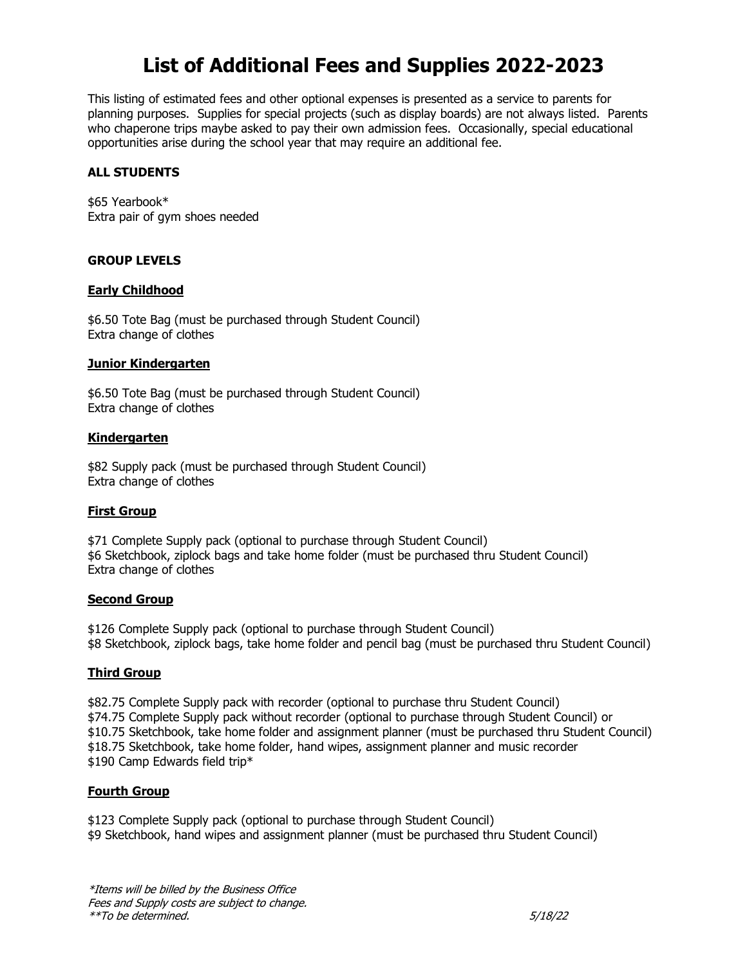# **List of Additional Fees and Supplies 2022-2023**

This listing of estimated fees and other optional expenses is presented as a service to parents for planning purposes. Supplies for special projects (such as display boards) are not always listed. Parents who chaperone trips maybe asked to pay their own admission fees. Occasionally, special educational opportunities arise during the school year that may require an additional fee.

## **ALL STUDENTS**

\$65 Yearbook\* Extra pair of gym shoes needed

## **GROUP LEVELS**

## **Early Childhood**

\$6.50 Tote Bag (must be purchased through Student Council) Extra change of clothes

## **Junior Kindergarten**

\$6.50 Tote Bag (must be purchased through Student Council) Extra change of clothes

## **Kindergarten**

\$82 Supply pack (must be purchased through Student Council) Extra change of clothes

# **First Group**

\$71 Complete Supply pack (optional to purchase through Student Council) \$6 Sketchbook, ziplock bags and take home folder (must be purchased thru Student Council) Extra change of clothes

## **Second Group**

\$126 Complete Supply pack (optional to purchase through Student Council) \$8 Sketchbook, ziplock bags, take home folder and pencil bag (must be purchased thru Student Council)

# **Third Group**

\$82.75 Complete Supply pack with recorder (optional to purchase thru Student Council) \$74.75 Complete Supply pack without recorder (optional to purchase through Student Council) or \$10.75 Sketchbook, take home folder and assignment planner (must be purchased thru Student Council) \$18.75 Sketchbook, take home folder, hand wipes, assignment planner and music recorder \$190 Camp Edwards field trip\*

## **Fourth Group**

\$123 Complete Supply pack (optional to purchase through Student Council) \$9 Sketchbook, hand wipes and assignment planner (must be purchased thru Student Council)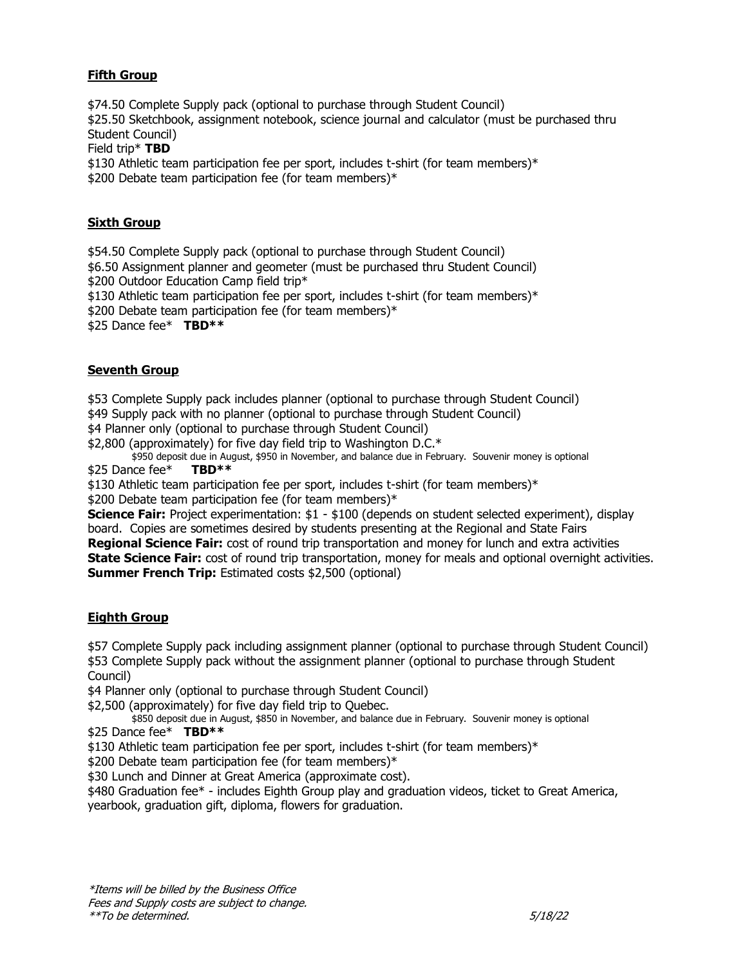# **Fifth Group**

\$74.50 Complete Supply pack (optional to purchase through Student Council) \$25.50 Sketchbook, assignment notebook, science journal and calculator (must be purchased thru Student Council)

Field trip\* **TBD**

\$130 Athletic team participation fee per sport, includes t-shirt (for team members)\* \$200 Debate team participation fee (for team members)\*

# **Sixth Group**

\$54.50 Complete Supply pack (optional to purchase through Student Council) \$6.50 Assignment planner and geometer (must be purchased thru Student Council) \$200 Outdoor Education Camp field trip\* \$130 Athletic team participation fee per sport, includes t-shirt (for team members)\* \$200 Debate team participation fee (for team members)\* \$25 Dance fee\* **TBD\*\***

# **Seventh Group**

\$53 Complete Supply pack includes planner (optional to purchase through Student Council) \$49 Supply pack with no planner (optional to purchase through Student Council) \$4 Planner only (optional to purchase through Student Council)

\$2,800 (approximately) for five day field trip to Washington D.C.\*

\$950 deposit due in August, \$950 in November, and balance due in February. Souvenir money is optional<br>ICE fee\* **TBD\*\*** \$25 Dance fee\*

\$130 Athletic team participation fee per sport, includes t-shirt (for team members) $*$ 

\$200 Debate team participation fee (for team members)\*

**Science Fair:** Project experimentation: \$1 - \$100 (depends on student selected experiment), display board. Copies are sometimes desired by students presenting at the Regional and State Fairs **Regional Science Fair:** cost of round trip transportation and money for lunch and extra activities **State Science Fair:** cost of round trip transportation, money for meals and optional overnight activities. **Summer French Trip:** Estimated costs \$2,500 (optional)

# **Eighth Group**

\$57 Complete Supply pack including assignment planner (optional to purchase through Student Council) \$53 Complete Supply pack without the assignment planner (optional to purchase through Student Council)

\$4 Planner only (optional to purchase through Student Council)

\$2,500 (approximately) for five day field trip to Quebec.

\$850 deposit due in August, \$850 in November, and balance due in February. Souvenir money is optional \$25 Dance fee\* **TBD\*\***

\$130 Athletic team participation fee per sport, includes t-shirt (for team members) $*$ 

\$200 Debate team participation fee (for team members)\*

\$30 Lunch and Dinner at Great America (approximate cost).

\$480 Graduation fee\* - includes Eighth Group play and graduation videos, ticket to Great America, yearbook, graduation gift, diploma, flowers for graduation.